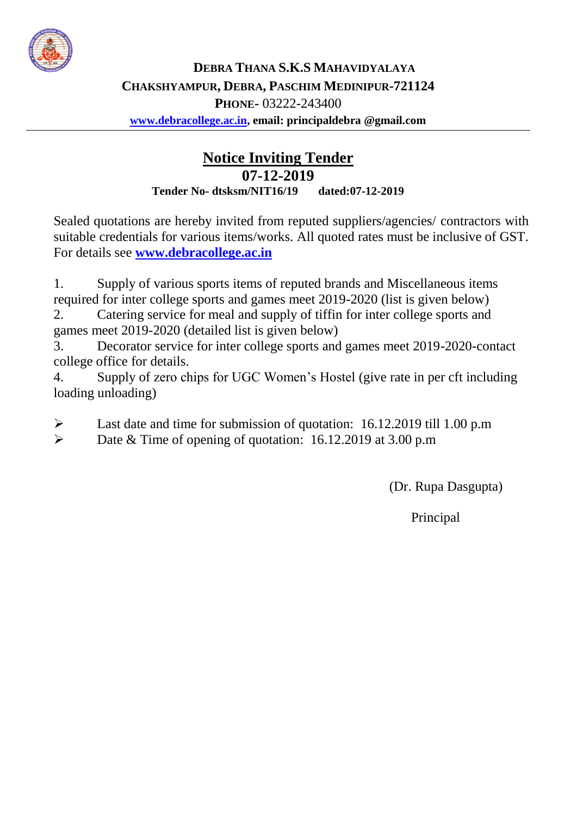

## **Notice Inviting Tender 07-12-2019 Tender No- dtsksm/NIT16/19 dated:07-12-2019**

Sealed quotations are hereby invited from reputed suppliers/agencies/ contractors with suitable credentials for various items/works. All quoted rates must be inclusive of GST. For details see **[www.debracollege.ac.in](http://www.debracollege.ac.in/)**

1. Supply of various sports items of reputed brands and Miscellaneous items required for inter college sports and games meet 2019-2020 (list is given below)

2. Catering service for meal and supply of tiffin for inter college sports and games meet 2019-2020 (detailed list is given below)

3. Decorator service for inter college sports and games meet 2019-2020-contact college office for details.

4. Supply of zero chips for UGC Women's Hostel (give rate in per cft including loading unloading)

- Last date and time for submission of quotation: 16.12.2019 till 1.00 p.m
- Date & Time of opening of quotation: 16.12.2019 at 3.00 p.m

(Dr. Rupa Dasgupta)

Principal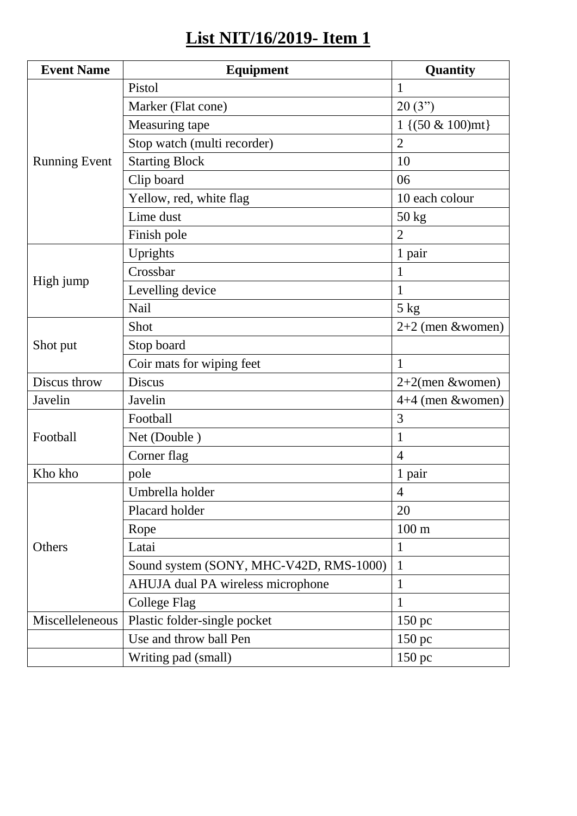## **List NIT/16/2019- Item 1**

| <b>Event Name</b>    | <b>Equipment</b>                        | Quantity             |
|----------------------|-----------------------------------------|----------------------|
| <b>Running Event</b> | Pistol                                  | 1                    |
|                      | Marker (Flat cone)                      | 20(3")               |
|                      | Measuring tape                          | $1\{(50 \& 100)$ mt} |
|                      | Stop watch (multi recorder)             | $\overline{2}$       |
|                      | <b>Starting Block</b>                   | 10                   |
|                      | Clip board                              | 06                   |
|                      | Yellow, red, white flag                 | 10 each colour       |
|                      | Lime dust                               | 50 kg                |
|                      | Finish pole                             | $\overline{2}$       |
| High jump            | Uprights                                | 1 pair               |
|                      | Crossbar                                | 1                    |
|                      | Levelling device                        | $\mathbf{1}$         |
|                      | Nail                                    | 5 kg                 |
|                      | Shot                                    | $2+2$ (men &women)   |
| Shot put             | Stop board                              |                      |
|                      | Coir mats for wiping feet               | $\mathbf{1}$         |
| Discus throw         | <b>Discus</b>                           | $2+2$ (men &women)   |
| Javelin              | Javelin                                 | $4+4$ (men &women)   |
| Football             | Football                                | 3                    |
|                      | Net (Double)                            | 1                    |
|                      | Corner flag                             | $\overline{4}$       |
| Kho kho              | pole                                    | 1 pair               |
| Others               | Umbrella holder                         | $\overline{4}$       |
|                      | Placard holder                          | 20                   |
|                      | Rope                                    | $100 \text{ m}$      |
|                      | Latai                                   | 1                    |
|                      | Sound system (SONY, MHC-V42D, RMS-1000) | $\mathbf{1}$         |
|                      | AHUJA dual PA wireless microphone       | $\mathbf{1}$         |
|                      | <b>College Flag</b>                     | 1                    |
| Miscelleleneous      | Plastic folder-single pocket            | $150 \text{ pc}$     |
|                      | Use and throw ball Pen                  | $150 \text{ pc}$     |
|                      | Writing pad (small)                     | 150 pc               |